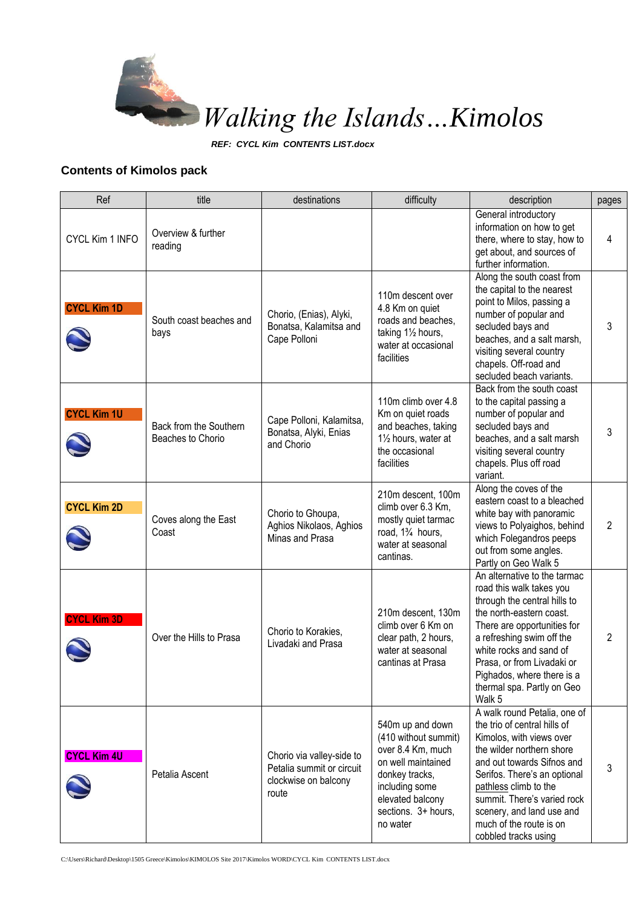

*REF: CYCL Kim CONTENTS LIST.docx*

## **Contents of Kimolos pack**

| Ref                | title                                       | destinations                                                                            | difficulty                                                                                                                                                                     | description                                                                                                                                                                                                                                                                                                                 | pages          |
|--------------------|---------------------------------------------|-----------------------------------------------------------------------------------------|--------------------------------------------------------------------------------------------------------------------------------------------------------------------------------|-----------------------------------------------------------------------------------------------------------------------------------------------------------------------------------------------------------------------------------------------------------------------------------------------------------------------------|----------------|
| CYCL Kim 1 INFO    | Overview & further<br>reading               |                                                                                         |                                                                                                                                                                                | General introductory<br>information on how to get<br>there, where to stay, how to<br>get about, and sources of<br>further information.                                                                                                                                                                                      | 4              |
| <b>CYCL Kim 1D</b> | South coast beaches and<br>bays             | Chorio, (Enias), Alyki,<br>Bonatsa, Kalamitsa and<br>Cape Polloni                       | 110m descent over<br>4.8 Km on quiet<br>roads and beaches.<br>taking 11/2 hours,<br>water at occasional<br>facilities                                                          | Along the south coast from<br>the capital to the nearest<br>point to Milos, passing a<br>number of popular and<br>secluded bays and<br>beaches, and a salt marsh,<br>visiting several country<br>chapels. Off-road and<br>secluded beach variants.                                                                          | 3              |
| <b>CYCL Kim 1U</b> | Back from the Southern<br>Beaches to Chorio | Cape Polloni, Kalamitsa,<br>Bonatsa, Alyki, Enias<br>and Chorio                         | 110m climb over 4.8<br>Km on quiet roads<br>and beaches, taking<br>11/2 hours, water at<br>the occasional<br>facilities                                                        | Back from the south coast<br>to the capital passing a<br>number of popular and<br>secluded bays and<br>beaches, and a salt marsh<br>visiting several country<br>chapels. Plus off road<br>variant.                                                                                                                          | 3              |
| <b>CYCL Kim 2D</b> | Coves along the East<br>Coast               | Chorio to Ghoupa,<br>Aghios Nikolaos, Aghios<br>Minas and Prasa                         | 210m descent, 100m<br>climb over 6.3 Km,<br>mostly quiet tarmac<br>road, 1 <sup>3</sup> / <sub>4</sub> hours,<br>water at seasonal<br>cantinas.                                | Along the coves of the<br>eastern coast to a bleached<br>white bay with panoramic<br>views to Polyaighos, behind<br>which Folegandros peeps<br>out from some angles.<br>Partly on Geo Walk 5                                                                                                                                | $\overline{2}$ |
| <b>CYCL Kim 3D</b> | Over the Hills to Prasa                     | Chorio to Korakies.<br>Livadaki and Prasa                                               | 210m descent, 130m<br>climb over 6 Km on<br>clear path, 2 hours,<br>water at seasonal<br>cantinas at Prasa                                                                     | An alternative to the tarmac<br>road this walk takes you<br>through the central hills to<br>the north-eastern coast.<br>There are opportunities for<br>a refreshing swim off the<br>white rocks and sand of<br>Prasa, or from Livadaki or<br>Pighados, where there is a<br>thermal spa. Partly on Geo<br>Walk 5             | 2              |
| <b>CYCL Kim 4U</b> | Petalia Ascent                              | Chorio via valley-side to<br>Petalia summit or circuit<br>clockwise on balcony<br>route | 540m up and down<br>(410 without summit)<br>over 8.4 Km, much<br>on well maintained<br>donkey tracks,<br>including some<br>elevated balcony<br>sections. 3+ hours,<br>no water | A walk round Petalia, one of<br>the trio of central hills of<br>Kimolos, with views over<br>the wilder northern shore<br>and out towards Sifnos and<br>Serifos. There's an optional<br>pathless climb to the<br>summit. There's varied rock<br>scenery, and land use and<br>much of the route is on<br>cobbled tracks using | 3              |

C:\Users\Richard\Desktop\1505 Greece\Kimolos\KIMOLOS Site 2017\Kimolos WORD\CYCL Kim CONTENTS LIST.docx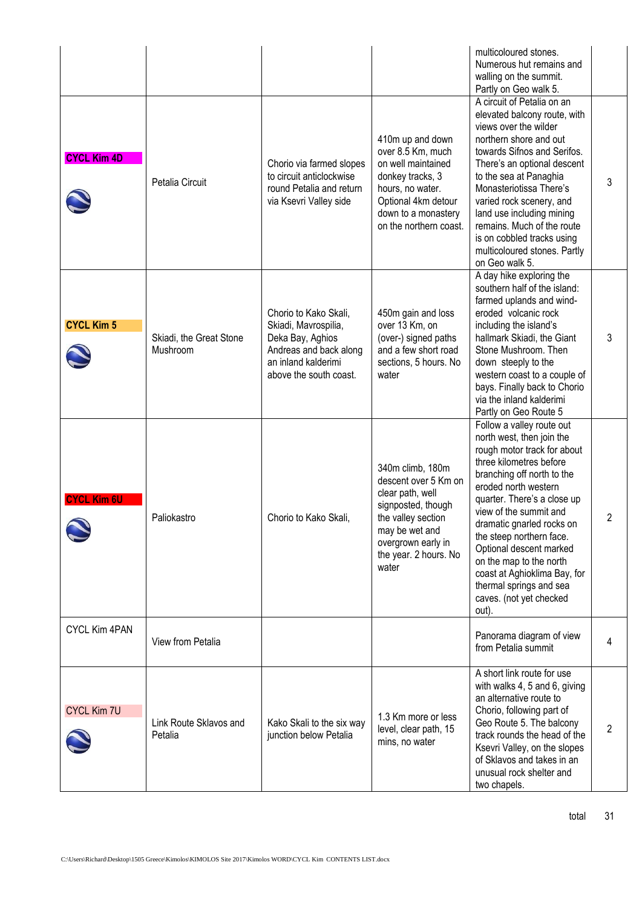|                      |                                     |                                                                                                                                              |                                                                                                                                                                                    | multicoloured stones.<br>Numerous hut remains and<br>walling on the summit.<br>Partly on Geo walk 5.                                                                                                                                                                                                                                                                                                                                          |   |
|----------------------|-------------------------------------|----------------------------------------------------------------------------------------------------------------------------------------------|------------------------------------------------------------------------------------------------------------------------------------------------------------------------------------|-----------------------------------------------------------------------------------------------------------------------------------------------------------------------------------------------------------------------------------------------------------------------------------------------------------------------------------------------------------------------------------------------------------------------------------------------|---|
| <b>CYCL Kim 4D</b>   | Petalia Circuit                     | Chorio via farmed slopes<br>to circuit anticlockwise<br>round Petalia and return<br>via Ksevri Valley side                                   | 410m up and down<br>over 8.5 Km, much<br>on well maintained<br>donkey tracks, 3<br>hours, no water.<br>Optional 4km detour<br>down to a monastery<br>on the northern coast.        | A circuit of Petalia on an<br>elevated balcony route, with<br>views over the wilder<br>northern shore and out<br>towards Sifnos and Serifos.<br>There's an optional descent<br>to the sea at Panaghia<br>Monasteriotissa There's<br>varied rock scenery, and<br>land use including mining<br>remains. Much of the route<br>is on cobbled tracks using<br>multicoloured stones. Partly<br>on Geo walk 5.                                       | 3 |
| <b>CYCL Kim 5</b>    | Skiadi, the Great Stone<br>Mushroom | Chorio to Kako Skali,<br>Skiadi, Mavrospilia,<br>Deka Bay, Aghios<br>Andreas and back along<br>an inland kalderimi<br>above the south coast. | 450m gain and loss<br>over 13 Km, on<br>(over-) signed paths<br>and a few short road<br>sections, 5 hours. No<br>water                                                             | A day hike exploring the<br>southern half of the island:<br>farmed uplands and wind-<br>eroded volcanic rock<br>including the island's<br>hallmark Skiadi, the Giant<br>Stone Mushroom. Then<br>down steeply to the<br>western coast to a couple of<br>bays. Finally back to Chorio<br>via the inland kalderimi<br>Partly on Geo Route 5                                                                                                      | 3 |
| <b>CYCL Kim 6U</b>   | Paliokastro                         | Chorio to Kako Skali,                                                                                                                        | 340m climb, 180m<br>descent over 5 Km on<br>clear path, well<br>signposted, though<br>the valley section<br>may be wet and<br>overgrown early in<br>the year. 2 hours. No<br>water | Follow a valley route out<br>north west, then join the<br>rough motor track for about<br>three kilometres before<br>branching off north to the<br>eroded north western<br>quarter. There's a close up<br>view of the summit and<br>dramatic gnarled rocks on<br>the steep northern face.<br>Optional descent marked<br>on the map to the north<br>coast at Aghioklima Bay, for<br>thermal springs and sea<br>caves. (not yet checked<br>out). | 2 |
| <b>CYCL Kim 4PAN</b> | View from Petalia                   |                                                                                                                                              |                                                                                                                                                                                    | Panorama diagram of view<br>from Petalia summit                                                                                                                                                                                                                                                                                                                                                                                               | 4 |
| <b>CYCL Kim 7U</b>   | Link Route Sklavos and<br>Petalia   | Kako Skali to the six way<br>junction below Petalia                                                                                          | 1.3 Km more or less<br>level, clear path, 15<br>mins, no water                                                                                                                     | A short link route for use<br>with walks 4, 5 and 6, giving<br>an alternative route to<br>Chorio, following part of<br>Geo Route 5. The balcony<br>track rounds the head of the<br>Ksevri Valley, on the slopes<br>of Sklavos and takes in an<br>unusual rock shelter and<br>two chapels.                                                                                                                                                     | 2 |